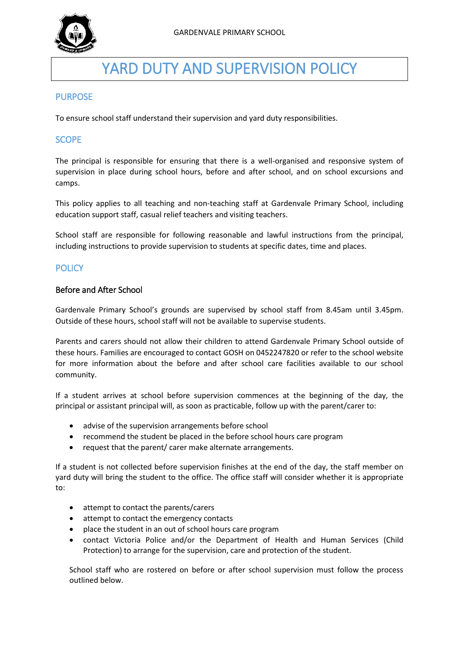

# YARD DUTY AND SUPERVISION POLICY

## **PURPOSE**

To ensure school staff understand their supervision and yard duty responsibilities.

## **SCOPE**

The principal is responsible for ensuring that there is a well-organised and responsive system of supervision in place during school hours, before and after school, and on school excursions and camps.

This policy applies to all teaching and non-teaching staff at Gardenvale Primary School, including education support staff, casual relief teachers and visiting teachers.

School staff are responsible for following reasonable and lawful instructions from the principal, including instructions to provide supervision to students at specific dates, time and places.

# **POLICY**

#### Before and After School

Gardenvale Primary School's grounds are supervised by school staff from 8.45am until 3.45pm. Outside of these hours, school staff will not be available to supervise students.

Parents and carers should not allow their children to attend Gardenvale Primary School outside of these hours. Families are encouraged to contact GOSH on 0452247820 or refer to the school website for more information about the before and after school care facilities available to our school community.

If a student arrives at school before supervision commences at the beginning of the day, the principal or assistant principal will, as soon as practicable, follow up with the parent/carer to:

- advise of the supervision arrangements before school
- recommend the student be placed in the before school hours care program
- request that the parent/ carer make alternate arrangements.

If a student is not collected before supervision finishes at the end of the day, the staff member on yard duty will bring the student to the office. The office staff will consider whether it is appropriate to:

- attempt to contact the parents/carers
- attempt to contact the emergency contacts
- place the student in an out of school hours care program
- contact Victoria Police and/or the Department of Health and Human Services (Child Protection) to arrange for the supervision, care and protection of the student.

School staff who are rostered on before or after school supervision must follow the process outlined below.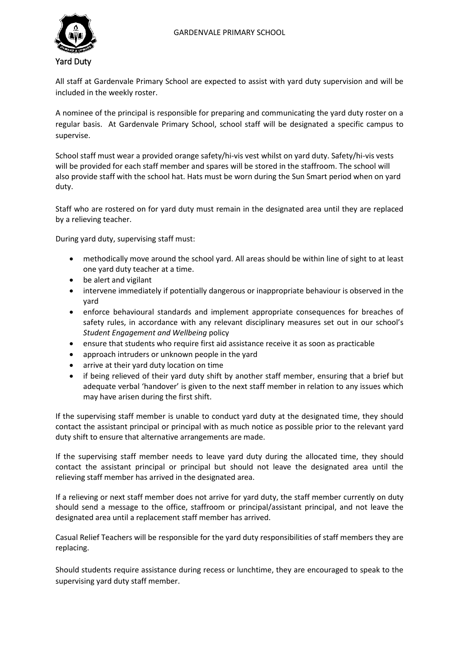

All staff at Gardenvale Primary School are expected to assist with yard duty supervision and will be included in the weekly roster.

A nominee of the principal is responsible for preparing and communicating the yard duty roster on a regular basis. At Gardenvale Primary School, school staff will be designated a specific campus to supervise.

School staff must wear a provided orange safety/hi-vis vest whilst on yard duty. Safety/hi-vis vests will be provided for each staff member and spares will be stored in the staffroom. The school will also provide staff with the school hat. Hats must be worn during the Sun Smart period when on yard duty.

Staff who are rostered on for yard duty must remain in the designated area until they are replaced by a relieving teacher.

During yard duty, supervising staff must:

- methodically move around the school yard. All areas should be within line of sight to at least one yard duty teacher at a time.
- be alert and vigilant
- intervene immediately if potentially dangerous or inappropriate behaviour is observed in the yard
- enforce behavioural standards and implement appropriate consequences for breaches of safety rules, in accordance with any relevant disciplinary measures set out in our school's *Student Engagement and Wellbeing* policy
- ensure that students who require first aid assistance receive it as soon as practicable
- approach intruders or unknown people in the yard
- arrive at their yard duty location on time
- if being relieved of their yard duty shift by another staff member, ensuring that a brief but adequate verbal 'handover' is given to the next staff member in relation to any issues which may have arisen during the first shift.

If the supervising staff member is unable to conduct yard duty at the designated time, they should contact the assistant principal or principal with as much notice as possible prior to the relevant yard duty shift to ensure that alternative arrangements are made.

If the supervising staff member needs to leave yard duty during the allocated time, they should contact the assistant principal or principal but should not leave the designated area until the relieving staff member has arrived in the designated area.

If a relieving or next staff member does not arrive for yard duty, the staff member currently on duty should send a message to the office, staffroom or principal/assistant principal, and not leave the designated area until a replacement staff member has arrived.

Casual Relief Teachers will be responsible for the yard duty responsibilities of staff members they are replacing.

Should students require assistance during recess or lunchtime, they are encouraged to speak to the supervising yard duty staff member.